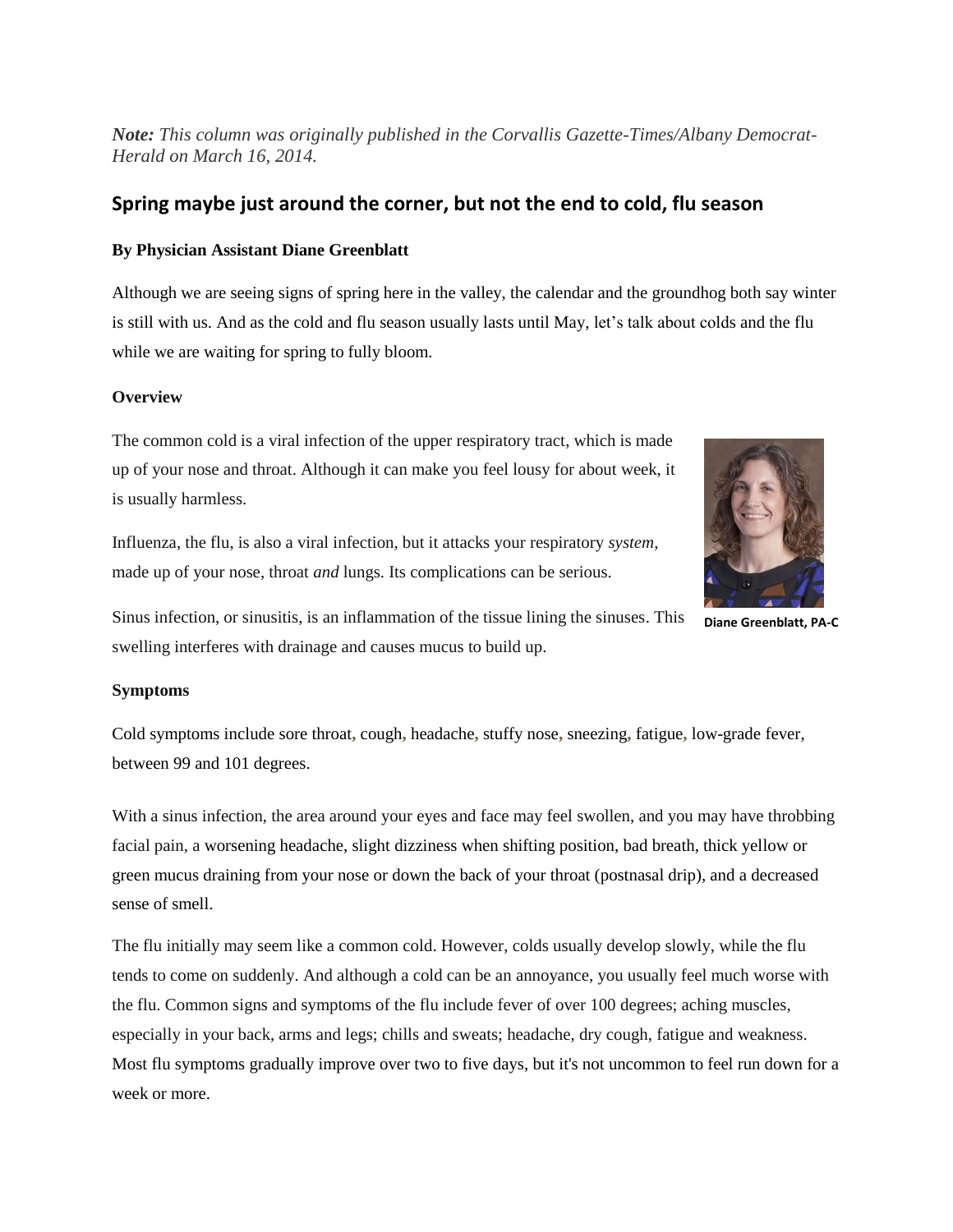*Note: This column was originally published in the Corvallis Gazette-Times/Albany Democrat-Herald on March 16, 2014.*

# **Spring maybe just around the corner, but not the end to cold, flu season**

# **By Physician Assistant Diane Greenblatt**

Although we are seeing signs of spring here in the valley, the calendar and the groundhog both say winter is still with us. And as the cold and flu season usually lasts until May, let's talk about colds and the flu while we are waiting for spring to fully bloom.

# **Overview**

The common cold is a viral infection of the upper respiratory tract, which is made up of your nose and throat. Although it can make you feel lousy for about week, it is usually harmless.

Influenza, the flu, is also a viral infection, but it attacks your respiratory *system*, made up of your nose, throat *and* lungs. Its complications can be serious.



**Diane Greenblatt, PA-C**

Sinus infection, or sinusitis, is an inflammation of the tissue lining the sinuses. This swelling interferes with drainage and causes mucus to build up.

# **Symptoms**

Cold symptoms include sore throat**,** cough**,** headache**,** stuffy nose**,** sneezing**,** fatigue**,** low-grade fever, between 99 and 101 degrees.

With a sinus infection, the area around your eyes and face may feel swollen, and you may have throbbing facial pain, a worsening headache, slight [dizziness](http://www.webmd.com/brain/tc/dizziness-lightheadedness-and-vertigo-topic-overview) when shifting position, bad breath, thick yellow or green mucus draining from your nose or down the back of your throat (postnasal drip), and a decreased sense of smell.

The flu initially may seem like a common cold. However, colds usually develop slowly, while the flu tends to come on suddenly. And although a cold can be an annoyance, you usually feel much worse with the flu. Common signs and symptoms of the flu include fever of over 100 degrees; aching muscles, especially in your back, arms and legs; chills and sweats; headache, dry cough, fatigue and weakness. Most flu symptoms gradually improve over two to five days, but it's not uncommon to feel run down for a week or more.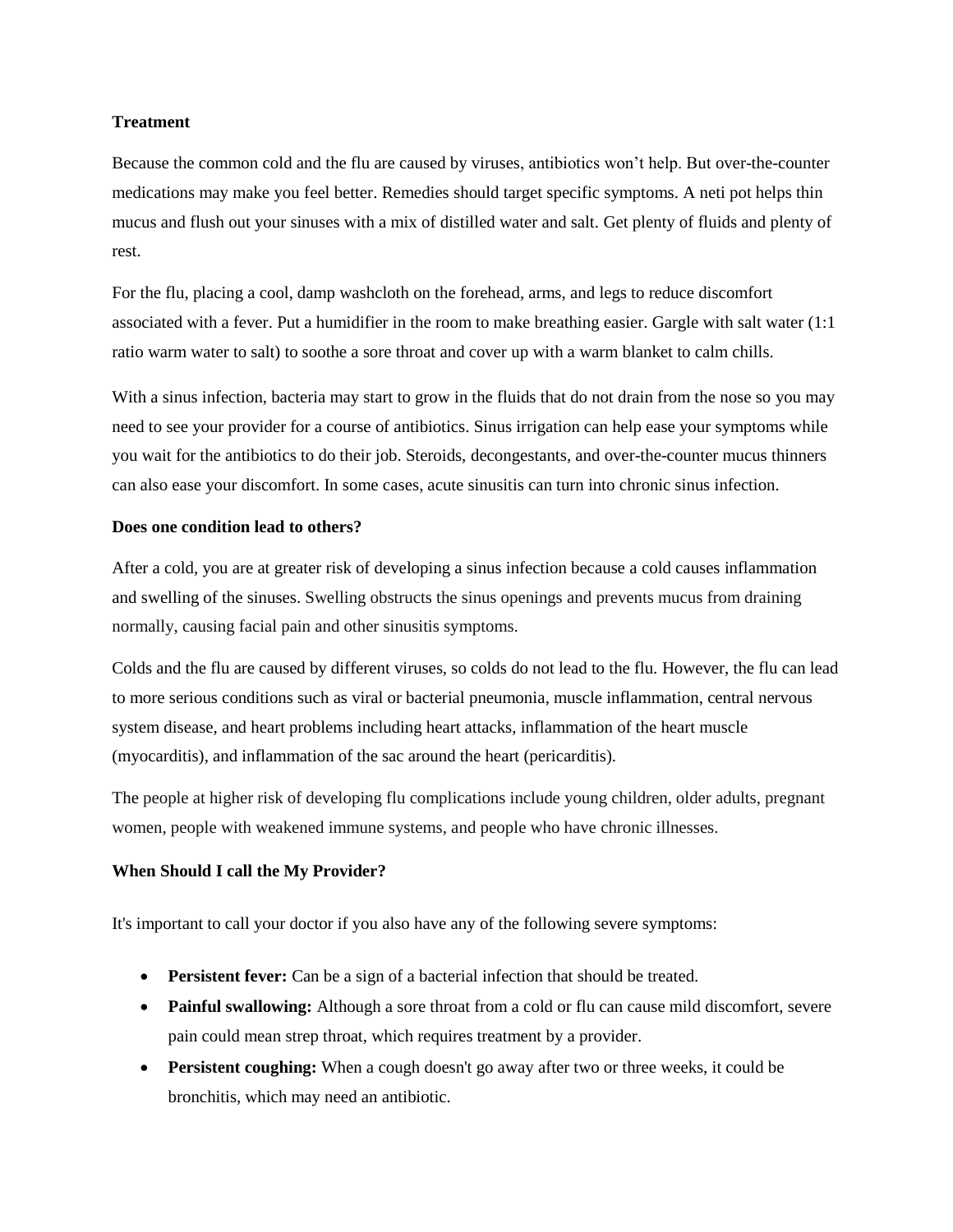### **Treatment**

Because the [common cold](http://www.webmd.com/cold-and-flu/default.htm) and the flu are caused by viruses, antibiotics won't help. But over-the-counter [medications](http://www.webmd.com/drugs/index-drugs.aspx) may make you feel better. Remedies should target specific symptoms. A neti pot helps thin mucus and flush out your sinuses with a mix of distilled water and salt. Get plenty of fluids and plenty of rest.

For the flu, placing a cool, damp washcloth on the forehead, arms, and legs to reduce discomfort associated with a fever. Put a humidifier in the room to make breathing easier. Gargle with salt water (1:1 ratio warm water to salt) to soothe a sore throat and cover up with a warm blanket to calm chills.

With a sinus infection, bacteria may start to grow in the fluids that do not drain from the nose so you may need to see your provider for a course of antibiotics. Sinus irrigation can help ease your symptoms while you wait for the antibiotics to do their job. Steroids, [decongestants,](http://www.webmd.com/allergies/guide/decongestants) and over-the-counter mucus thinners can also ease your discomfort. In some cases, acute sinusitis can turn into chronic sinus infection.

#### **Does one condition lead to others?**

After a cold, you are at greater risk of developing a sinus infection because a [cold causes](http://www.webmd.com/cold-and-flu/cold-guide/cold_overview_facts) inflammation and swelling of the sinuses. Swelling obstructs the sinus openings and prevents mucus from draining normally, causing facial pain and other sinusitis symptoms.

Colds and the flu are caused by different viruses, so colds do not lead to the flu. However, the flu can lead to more serious conditions such as viral or bacterial pneumonia, muscle inflammation, central nervous system disease, and heart problems including heart attacks, inflammation of the heart muscle (myocarditis), and inflammation of the sac around the heart (pericarditis).

The people at higher risk of developing flu complications include young children, older adults, pregnant women, people with weakened immune systems, and people who have chronic illnesses.

# **When Should I call the My Provider?**

It's important to call your doctor if you also have any of the following severe symptoms:

- **Persistent fever:** Can be a sign of a bacterial infection that should be treated.
- **Painful swallowing:** Although a sore throat from a cold or flu can cause mild discomfort, severe pain could mean [strep throat,](http://www.webmd.com/a-to-z-guides/strep-throat-topic-overview) which requires treatment by a provider.
- **Persistent coughing:** When a cough doesn't go away after two or three weeks, it could be bronchitis, which may need an antibiotic.